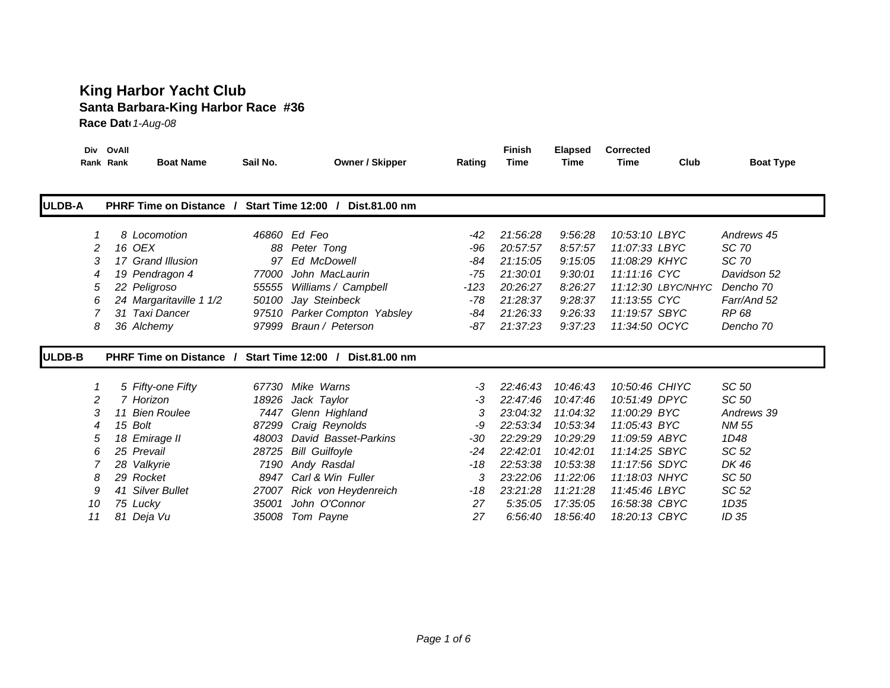## **King Harbor Yacht Club Santa Barbara-King Harbor Race #36**

**Race Date***1-Aug-08*

|               | <b>Div</b> | OvAll<br>Rank Rank | <b>Boat Name</b>                           | Sail No.      | Owner / Skipper                       | Rating     | <b>Finish</b><br><b>Time</b> | <b>Elapsed</b><br>Time | <b>Corrected</b><br>Time       | Club               | <b>Boat Type</b> |
|---------------|------------|--------------------|--------------------------------------------|---------------|---------------------------------------|------------|------------------------------|------------------------|--------------------------------|--------------------|------------------|
|               |            |                    |                                            |               |                                       |            |                              |                        |                                |                    |                  |
| ULDB-A        |            |                    | PHRF Time on Distance / Start Time 12:00 / |               | Dist.81.00 nm                         |            |                              |                        |                                |                    |                  |
|               |            |                    | 8 Locomotion                               |               | 46860 Ed Feo                          | -42        | 21:56:28                     | 9:56:28                | 10:53:10 LBYC                  |                    | Andrews 45       |
|               | 2          |                    | 16 OEX                                     | 88            | Peter Tong                            | $-96$      | 20:57:57                     | 8:57:57                | 11:07:33 LBYC                  |                    | SC 70            |
|               | 3          |                    | 17 Grand Illusion                          | 97            | Ed McDowell                           | -84        | 21:15:05                     | 9:15:05                | 11:08:29 KHYC                  |                    | SC 70            |
|               | 4          |                    | 19 Pendragon 4                             | 77000         | John MacLaurin                        | $-75$      | 21:30:01                     | 9:30:01                | 11:11:16 CYC                   |                    | Davidson 52      |
|               | 5          |                    | 22 Peligroso                               | 55555         | Williams / Campbell                   | $-123$     | 20:26:27                     | 8:26:27                |                                | 11:12:30 LBYC/NHYC | Dencho 70        |
|               | 6          |                    | 24 Margaritaville 1 1/2                    | 50100         | Jay Steinbeck                         | -78        | 21:28:37                     | 9:28:37                | 11:13:55 CYC                   |                    | Farr/And 52      |
|               |            |                    | 31 Taxi Dancer                             |               | 97510 Parker Compton Yabsley          | -84        | 21:26:33                     | 9:26:33                | 11:19:57 SBYC                  |                    | RP 68            |
|               | 8          |                    | 36 Alchemy                                 | 97999         | Braun / Peterson                      | $-87$      | 21:37:23                     | 9:37:23                | 11:34:50 OCYC                  |                    | Dencho 70        |
|               |            |                    |                                            |               |                                       |            |                              |                        |                                |                    |                  |
| <b>ULDB-B</b> |            |                    | <b>PHRF Time on Distance</b>               |               | Start Time 12:00 /<br>Dist.81.00 nm   |            |                              |                        |                                |                    |                  |
|               |            |                    |                                            |               |                                       |            |                              |                        |                                |                    |                  |
|               |            |                    | 5 Fifty-one Fifty                          | 67730         | Mike Warns                            | -3         | 22:46:43                     | 10:46:43               | 10:50:46 CHIYC                 |                    | SC 50            |
|               | 2          |                    | 7 Horizon                                  | 18926         | Jack Taylor                           | $-3$       | 22:47:46                     | 10:47:46               | 10:51:49 DPYC                  |                    | SC 50            |
|               | 3          |                    | 11 Bien Roulee                             | 7447          | Glenn Highland                        | 3          | 23:04:32                     | 11:04:32               | 11:00:29 BYC                   |                    | Andrews 39       |
|               | 4          |                    | 15 Bolt                                    | 87299         | Craig Reynolds                        | -9         | 22:53:34                     | 10:53:34               | 11:05:43 BYC                   |                    | NM 55            |
|               | 5          |                    | 18 Emirage II                              | 48003         | David Basset-Parkins                  | $-30$      | 22:29:29                     | 10:29:29               | 11:09:59 ABYC                  |                    | 1D48             |
|               | 6          |                    | 25 Prevail                                 | 28725         | <b>Bill Guilfoyle</b>                 | $-24$      | 22:42:01                     | 10:42:01               | 11:14:25 SBYC                  |                    | SC 52            |
|               |            |                    | 28 Valkyrie                                |               | 7190 Andy Rasdal                      | $-18$      | 22:53:38                     | 10:53:38               | 11:17:56 SDYC                  |                    | DK 46            |
|               | 8          |                    | 29 Rocket<br>41 Silver Bullet              | 8947<br>27007 | Carl & Win Fuller                     | 3<br>$-18$ | 23:22:06<br>23:21:28         | 11:22:06<br>11:21:28   | 11:18:03 NHYC<br>11:45:46 LBYC |                    | SC 50<br>SC 52   |
|               | 9<br>10    |                    |                                            | 35001         | Rick von Heydenreich<br>John O'Connor |            | 5.35.05                      |                        | 16:58:38 CBYC                  |                    | 1D35             |
|               |            |                    | 75 Lucky                                   |               |                                       | 27<br>27   | 6:56:40                      | 17:35:05<br>18:56:40   |                                |                    | ID 35            |
|               | 11         |                    | 81 Deja Vu                                 | 35008         | Tom Payne                             |            |                              |                        | 18:20:13 CBYC                  |                    |                  |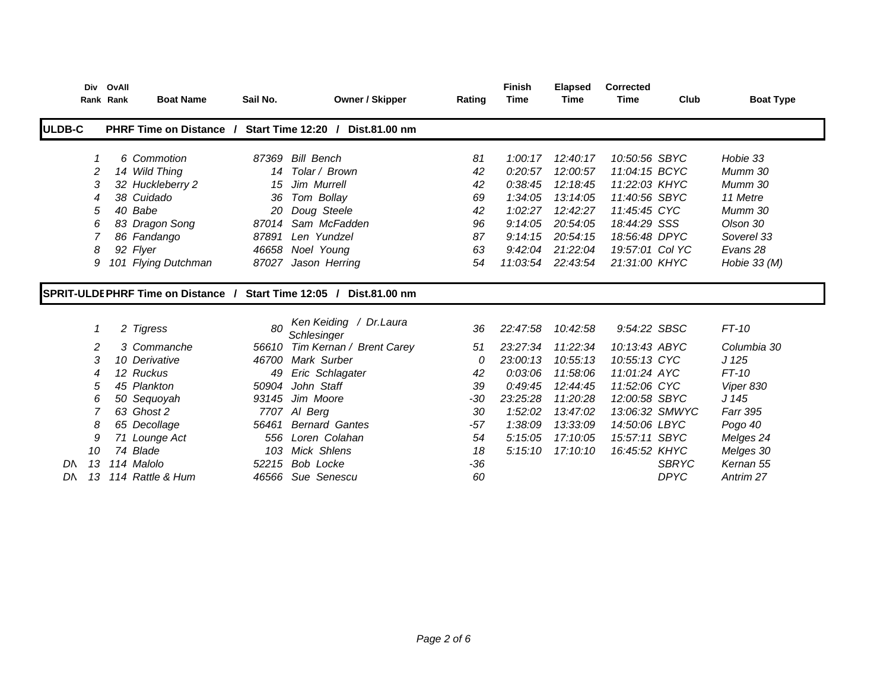|        | <b>Div</b><br>Rank Rank | OvAll | <b>Boat Name</b>                  | Sail No. | Owner / Skipper                                                      | Rating | <b>Finish</b><br><b>Time</b> | <b>Elapsed</b><br><b>Time</b> | <b>Corrected</b><br>Time | Club         | <b>Boat Type</b> |
|--------|-------------------------|-------|-----------------------------------|----------|----------------------------------------------------------------------|--------|------------------------------|-------------------------------|--------------------------|--------------|------------------|
| ULDB-C |                         |       | <b>PHRF Time on Distance /</b>    |          | <b>Start Time 12:20 /</b><br>Dist.81.00 nm                           |        |                              |                               |                          |              |                  |
|        |                         |       | 6 Commotion                       | 87369    | <b>Bill Bench</b>                                                    | 81     | 1:00:17                      | 12:40:17                      | 10:50:56 SBYC            |              | Hobie 33         |
|        | 2                       |       | 14 Wild Thing                     | 14       | Tolar / Brown                                                        | 42     | 0:20:57                      | 12:00:57                      | 11:04:15 BCYC            |              | Mumm 30          |
|        | 3                       |       | 32 Huckleberry 2                  | 15       | Jim Murrell                                                          | 42     | 0:38:45                      | 12:18:45                      | 11:22:03 KHYC            |              | Mumm 30          |
|        | 4                       |       | 38 Cuidado                        | 36       | Tom Bollay                                                           | 69     | 1:34:05                      | 13:14:05                      | 11:40:56 SBYC            |              | 11 Metre         |
|        | 5                       |       | 40 Babe                           | 20       | Doug Steele                                                          | 42     | 1:02:27                      | 12:42:27                      | 11:45:45 CYC             |              | Mumm 30          |
|        | 6                       |       | 83 Dragon Song                    | 87014    | Sam McFadden                                                         | 96     | 9:14:05                      | 20:54:05                      | 18:44:29 SSS             |              | Olson 30         |
|        |                         |       | 86 Fandango                       | 87891    | Len Yundzel                                                          | 87     | 9:14:15                      | 20:54:15                      | 18:56:48 DPYC            |              | Soverel 33       |
|        | 8                       |       | 92 Flyer                          | 46658    | Noel Young                                                           | 63     | 9:42:04                      | 21:22:04                      | 19:57:01 Col YC          |              | Evans 28         |
|        | 9                       |       | 101 Flying Dutchman               | 87027    | Jason Herring                                                        | 54     | 11:03:54                     | 22:43:54                      | 21:31:00 KHYC            |              | Hobie $33(M)$    |
|        |                         |       | SPRIT-ULDEPHRF Time on Distance / |          | <b>Start Time 12:05 /</b><br>Dist.81.00 nm<br>Ken Keiding / Dr.Laura |        |                              |                               |                          |              |                  |
|        | 1                       |       | 2 Tigress                         | 80       | <b>Schlesinger</b>                                                   | 36     | 22:47:58                     | 10:42:58                      | 9:54:22 SBSC             |              | FT-10            |
|        | 2                       |       | 3 Commanche                       | 56610    | Tim Kernan / Brent Carey                                             | 51     | 23:27:34                     | 11:22:34                      | 10:13:43 ABYC            |              | Columbia 30      |
|        | 3                       |       | 10 Derivative                     | 46700    | Mark Surber                                                          | 0      | 23:00:13                     | 10:55:13                      | 10:55:13 CYC             |              | J <sub>125</sub> |
|        | 4                       |       | 12 Ruckus                         | 49       | Eric Schlagater                                                      | 42     | 0:03:06                      | 11:58:06                      | 11:01:24 AYC             |              | $FT-10$          |
|        | 5                       |       | 45 Plankton                       | 50904    | John Staff                                                           | 39     | 0.49.45                      | 12:44:45                      | 11:52:06 CYC             |              | Viper 830        |
|        | 6                       |       | 50 Seguoyah                       | 93145    | Jim Moore                                                            | $-30$  | 23:25:28                     | 11:20:28                      | 12:00:58 SBYC            |              | J <sub>145</sub> |
|        |                         |       | 63 Ghost 2                        | 7707     | Al Berg                                                              | 30     | 1:52:02                      | 13:47:02                      | 13:06:32 SMWYC           |              | <b>Farr 395</b>  |
|        | 8                       |       | 65 Decollage                      | 56461    | <b>Bernard Gantes</b>                                                | $-57$  | 1:38:09                      | 13:33:09                      | 14:50:06 LBYC            |              | Pogo 40          |
|        | 9                       |       | 71 Lounge Act                     | 556      | Loren Colahan                                                        | 54     | 5:15:05                      | 17:10:05                      | 15:57:11 SBYC            |              | Melges 24        |
|        | 10                      |       | 74 Blade                          | 103      | Mick Shlens                                                          | 18     | 5:15:10                      | 17:10:10                      | 16:45:52 KHYC            |              | Melges 30        |
| D٨     | 13                      |       | 114 Malolo                        | 52215    | <b>Bob Locke</b>                                                     | $-36$  |                              |                               |                          | <b>SBRYC</b> | Kernan 55        |
| D٨     | 13                      |       | 114 Rattle & Hum                  | 46566    | Sue Senescu                                                          | 60     |                              |                               |                          | <b>DPYC</b>  | Antrim 27        |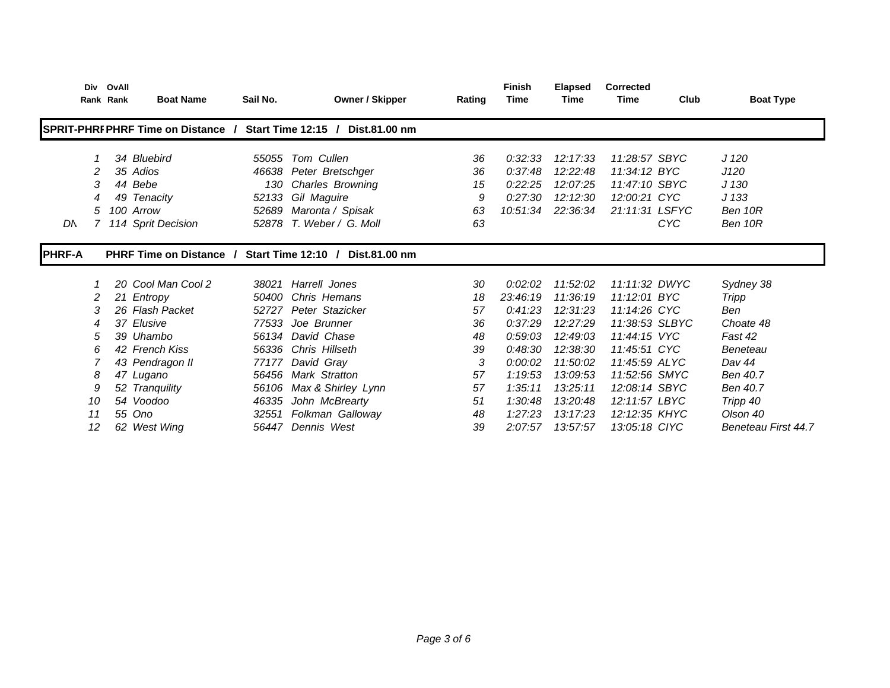|               | Div<br>Rank Rank                            | OvAll | <b>Boat Name</b>                                                                                                                                                       | Sail No.                                                                                        | Owner / Skipper                                                                                                                                                                                    | Rating                                                        | <b>Finish</b><br><b>Time</b>                                                                                           | <b>Elapsed</b><br>Time                                                                                                           | Corrected<br><b>Time</b>                                                                                                                                                             | Club       | <b>Boat Type</b>                                                                                                               |
|---------------|---------------------------------------------|-------|------------------------------------------------------------------------------------------------------------------------------------------------------------------------|-------------------------------------------------------------------------------------------------|----------------------------------------------------------------------------------------------------------------------------------------------------------------------------------------------------|---------------------------------------------------------------|------------------------------------------------------------------------------------------------------------------------|----------------------------------------------------------------------------------------------------------------------------------|--------------------------------------------------------------------------------------------------------------------------------------------------------------------------------------|------------|--------------------------------------------------------------------------------------------------------------------------------|
|               |                                             |       | <b>SPRIT-PHRF PHRF Time on Distance /</b>                                                                                                                              |                                                                                                 | Start Time 12:15 /<br>Dist.81.00 nm                                                                                                                                                                |                                                               |                                                                                                                        |                                                                                                                                  |                                                                                                                                                                                      |            |                                                                                                                                |
|               | 1<br>2                                      |       | 34 Bluebird<br>35 Adios                                                                                                                                                | 55055<br>46638                                                                                  | Tom Cullen<br>Peter Bretschger                                                                                                                                                                     | 36<br>36                                                      | 0.32.33<br>0.37:48                                                                                                     | 12:17:33<br>12:22:48                                                                                                             | 11:28:57 SBYC<br>11:34:12 BYC                                                                                                                                                        |            | J 120<br>J120                                                                                                                  |
| DN.           | 3<br>4<br>5.                                |       | 44 Bebe<br>49 Tenacity<br>100 Arrow<br>114 Sprit Decision                                                                                                              | 130<br>52133<br>52689<br>52878                                                                  | <b>Charles Browning</b><br>Gil Maguire<br>Maronta / Spisak<br>T. Weber / G. Moll                                                                                                                   | 15<br>9<br>63<br>63                                           | 0:22:25<br>0:27:30<br>10:51:34                                                                                         | 12:07:25<br>12:12:30<br>22:36:34                                                                                                 | 11:47:10 SBYC<br>12:00:21 CYC<br>21:11:31 LSFYC                                                                                                                                      | <b>CYC</b> | J 130<br>J <sub>133</sub><br>Ben 10R<br>Ben 10R                                                                                |
| <b>PHRF-A</b> |                                             |       | <b>PHRF Time on Distance /</b>                                                                                                                                         |                                                                                                 | <b>Start Time 12:10 /</b><br>Dist.81.00 nm                                                                                                                                                         |                                                               |                                                                                                                        |                                                                                                                                  |                                                                                                                                                                                      |            |                                                                                                                                |
|               | 2<br>3<br>4<br>5<br>6<br>8<br>9<br>10<br>11 | 55    | 20 Cool Man Cool 2<br>21 Entropy<br>26 Flash Packet<br>37 Elusive<br>39 Uhambo<br>42 French Kiss<br>43 Pendragon II<br>47 Lugano<br>52 Tranquility<br>54 Voodoo<br>Ono | 38021<br>50400<br>52727<br>77533<br>56134<br>56336<br>77177<br>56456<br>56106<br>46335<br>32551 | <b>Harrell</b> Jones<br>Chris Hemans<br>Peter Stazicker<br>Joe Brunner<br>David Chase<br>Chris Hillseth<br>David Gray<br>Mark Stratton<br>Max & Shirley Lynn<br>John McBrearty<br>Folkman Galloway | 30<br>18<br>57<br>36<br>48<br>39<br>3<br>57<br>57<br>51<br>48 | 0:02:02<br>23:46:19<br>0:41:23<br>0.37.29<br>0:59:03<br>0.48:30<br>0:00:02<br>1:19:53<br>1:35:11<br>1:30:48<br>1:27:23 | 11:52:02<br>11:36:19<br>12:31:23<br>12:27:29<br>12:49:03<br>12:38:30<br>11:50:02<br>13:09:53<br>13:25:11<br>13:20:48<br>13:17:23 | 11:11:32 DWYC<br>11:12:01 BYC<br>11:14:26 CYC<br>11:38:53 SLBYC<br>11:44:15 VYC<br>11:45:51 CYC<br>11:45:59 ALYC<br>11:52:56 SMYC<br>12:08:14 SBYC<br>12:11:57 LBYC<br>12:12:35 KHYC |            | Sydney 38<br><b>Tripp</b><br>Ben<br>Choate 48<br>Fast 42<br>Beneteau<br>Dav 44<br>Ben 40.7<br>Ben 40.7<br>Tripp 40<br>Olson 40 |
|               | 12                                          |       | 62 West Wing                                                                                                                                                           | 56447                                                                                           | Dennis West                                                                                                                                                                                        | 39                                                            | 2:07:57                                                                                                                | 13:57:57                                                                                                                         | 13:05:18 CIYC                                                                                                                                                                        |            | Beneteau First 44.7                                                                                                            |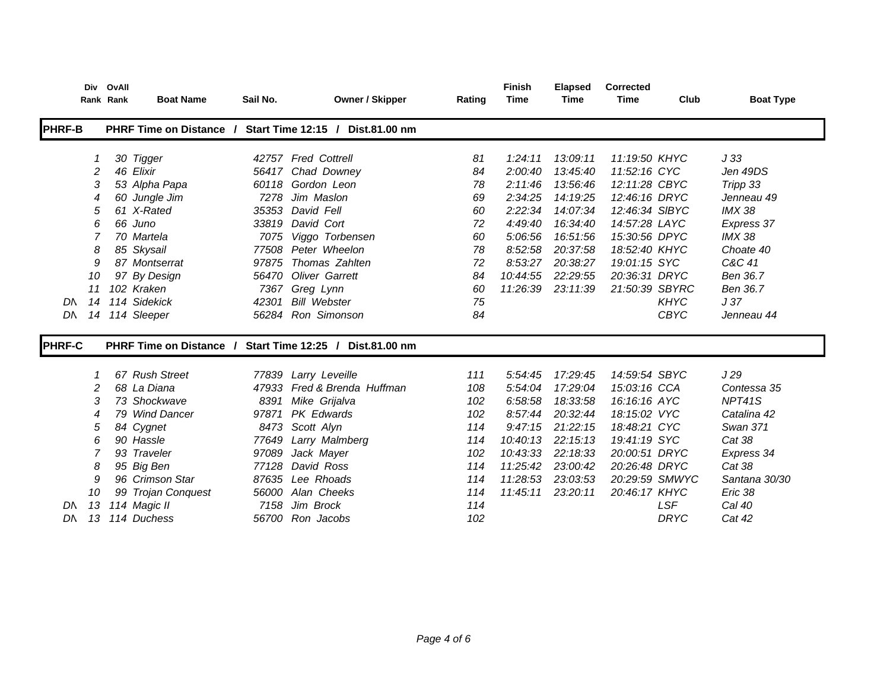|               | Div | OvAll<br>Rank Rank | <b>Boat Name</b>               | Sail No. | Owner / Skipper                            | Rating | <b>Finish</b><br><b>Time</b> | <b>Elapsed</b><br><b>Time</b> | Corrected<br><b>Time</b> | Club        | <b>Boat Type</b> |  |
|---------------|-----|--------------------|--------------------------------|----------|--------------------------------------------|--------|------------------------------|-------------------------------|--------------------------|-------------|------------------|--|
| <b>PHRF-B</b> |     |                    | <b>PHRF Time on Distance /</b> |          | <b>Start Time 12:15 /</b><br>Dist.81.00 nm |        |                              |                               |                          |             |                  |  |
|               |     |                    | 30 Tigger                      |          | 42757 Fred Cottrell                        | 81     | 1.24:11                      | 13:09:11                      | 11:19:50 KHYC            |             | J33              |  |
|               | 2   |                    | 46 Elixir                      | 56417    | Chad Downey                                | 84     | 2:00:40                      | 13:45:40                      | 11:52:16 CYC             |             | Jen 49DS         |  |
|               | 3   |                    | 53 Alpha Papa                  | 60118    | Gordon Leon                                | 78     | 2:11:46                      | 13:56:46                      | 12:11:28 CBYC            |             | Tripp 33         |  |
|               | 4   |                    | 60 Jungle Jim                  | 7278     | Jim Maslon                                 | 69     | 2:34:25                      | 14:19:25                      | 12:46:16 DRYC            |             | Jenneau 49       |  |
|               | 5   |                    | 61 X-Rated                     | 35353    | David Fell                                 | 60     | 2:22:34                      | 14:07:34                      | 12:46:34 SIBYC           |             | <b>IMX 38</b>    |  |
|               | 6   |                    | 66 Juno                        | 33819    | David Cort                                 | 72     | 4.49.40                      | 16:34:40                      | 14:57:28 LAYC            |             | Express 37       |  |
|               | 7   |                    | 70 Martela                     | 7075     | Viggo Torbensen                            | 60     | 5:06:56                      | 16:51:56                      | 15:30:56 DPYC            |             | <b>IMX 38</b>    |  |
|               | 8   |                    | 85 Skysail                     | 77508    | Peter Wheelon                              | 78     | 8:52:58                      | 20:37:58                      | 18:52:40 KHYC            |             | Choate 40        |  |
|               | 9   |                    | 87 Montserrat                  | 97875    | Thomas Zahlten                             | 72     | 8:53:27                      | 20:38:27                      | 19:01:15 SYC             |             | C&C 41           |  |
|               | 10  |                    | 97 By Design                   | 56470    | <b>Oliver Garrett</b>                      | 84     | 10:44:55                     | 22:29:55                      | 20:36:31 DRYC            |             | Ben 36.7         |  |
|               | 11  |                    | 102 Kraken                     | 7367     | Greg Lynn                                  | 60     | 11:26:39                     | 23:11:39                      | 21:50:39 SBYRC           |             | Ben 36.7         |  |
| D٨            | 14  |                    | 114 Sidekick                   | 42301    | <b>Bill Webster</b>                        | 75     |                              |                               |                          | <b>KHYC</b> | J <sub>37</sub>  |  |
| DN.           | 14  |                    | 114 Sleeper                    |          | 56284 Ron Simonson                         | 84     |                              |                               |                          | <b>CBYC</b> | Jenneau 44       |  |
| PHRF-C        |     |                    | <b>PHRF Time on Distance /</b> |          | <b>Start Time 12:25 /</b><br>Dist.81.00 nm |        |                              |                               |                          |             |                  |  |
|               |     |                    | 67 Rush Street                 | 77839    | Larry Leveille                             | 111    | 5:54:45                      | 17:29:45                      | 14:59:54 SBYC            |             | J 29             |  |
|               | 2   |                    | 68 La Diana                    | 47933    | Fred & Brenda Huffman                      | 108    | 5:54:04                      | 17:29:04                      | 15:03:16 CCA             |             | Contessa 35      |  |
|               | 3   |                    | 73 Shockwave                   | 8391     | Mike Grijalva                              | 102    | 6:58:58                      | 18:33:58                      | 16:16:16 AYC             |             | NPT41S           |  |
|               | 4   |                    | 79 Wind Dancer                 | 97871    | PK Edwards                                 | 102    | 8:57:44                      | 20:32:44                      | 18:15:02 VYC             |             | Catalina 42      |  |
|               | 5   |                    | 84 Cygnet                      | 8473     | Scott Alyn                                 | 114    | 9:47:15                      | 21:22:15                      | 18:48:21 CYC             |             | <b>Swan 371</b>  |  |
|               | 6   |                    | 90 Hassle                      | 77649    | Larry Malmberg                             | 114    | 10:40:13                     | 22:15:13                      | 19:41:19 SYC             |             | Cat 38           |  |
|               | 7   |                    | 93 Traveler                    | 97089    | Jack Mayer                                 | 102    | 10:43:33                     | 22:18:33                      | 20:00:51 DRYC            |             | Express 34       |  |
|               | 8   |                    | 95 Big Ben                     | 77128    | David Ross                                 | 114    | 11:25:42                     | 23:00:42                      | 20:26:48 DRYC            |             | Cat 38           |  |
|               | 9   |                    | 96 Crimson Star                | 87635    | Lee Rhoads                                 | 114    | 11:28:53                     | 23:03:53                      | 20:29:59 SMWYC           |             | Santana 30/30    |  |
|               | 10  |                    | 99 Trojan Conquest             | 56000    | Alan Cheeks                                | 114    | 11:45:11                     | 23:20:11                      | 20:46:17 KHYC            |             | Eric 38          |  |
| D٨            | 13  |                    | 114 Magic II                   | 7158     | Jim Brock                                  | 114    |                              |                               |                          | <b>LSF</b>  | Cal 40           |  |
| D٨            | 13  |                    | 114 Duchess                    |          | 56700 Ron Jacobs                           | 102    |                              |                               |                          | <b>DRYC</b> | Cat 42           |  |
|               |     |                    |                                |          |                                            |        |                              |                               |                          |             |                  |  |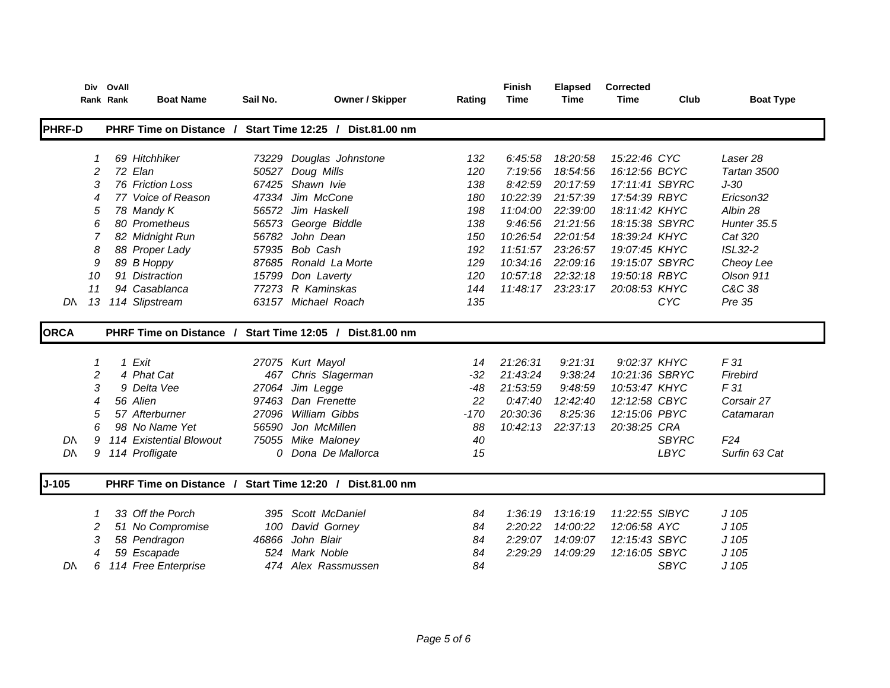|               | Div | OvAll<br>Rank Rank | <b>Boat Name</b>               | Sail No. | Owner / Skipper                                          | Rating | Finish<br><b>Time</b> | <b>Elapsed</b><br><b>Time</b> | Corrected<br>Time | Club         | <b>Boat Type</b> |
|---------------|-----|--------------------|--------------------------------|----------|----------------------------------------------------------|--------|-----------------------|-------------------------------|-------------------|--------------|------------------|
| <b>PHRF-D</b> |     |                    | <b>PHRF Time on Distance /</b> |          | Start Time 12:25 / Dist.81.00 nm                         |        |                       |                               |                   |              |                  |
|               | 1   |                    | 69 Hitchhiker                  | 73229    | Douglas Johnstone                                        | 132    | 6:45:58               | 18:20:58                      | 15:22:46 CYC      |              | Laser 28         |
|               | 2   |                    | 72 Elan                        | 50527    | Doug Mills                                               | 120    | 7:19:56               | 18:54:56                      | 16:12:56 BCYC     |              | Tartan 3500      |
|               | 3   |                    | 76 Friction Loss               | 67425    | Shawn Ivie                                               | 138    | 8:42:59               | 20:17:59                      | 17:11:41 SBYRC    |              | $J-30$           |
|               | 4   |                    | 77 Voice of Reason             |          | 47334 Jim McCone                                         | 180    | 10:22:39              | 21:57:39                      | 17:54:39 RBYC     |              | Ericson32        |
|               | 5   |                    | 78 Mandy K                     | 56572    | Jim Haskell                                              | 198    | 11:04:00              | 22:39:00                      | 18:11:42 KHYC     |              | Albin 28         |
|               | 6   |                    | 80 Prometheus                  | 56573    | George Biddle                                            | 138    | 9:46:56               | 21:21:56                      | 18:15:38 SBYRC    |              | Hunter 35.5      |
|               | 7   |                    | 82 Midnight Run                |          | 56782 John Dean                                          | 150    | 10:26:54              | 22:01:54                      | 18:39:24 KHYC     |              | Cat 320          |
|               | 8   |                    | 88 Proper Lady                 |          | 57935 Bob Cash                                           | 192    | 11:51:57              | 23:26:57                      | 19:07:45 KHYC     |              | ISL32-2          |
|               | 9   |                    | 89 B Hoppy                     |          | 87685 Ronald La Morte                                    | 129    | 10:34:16              | 22:09:16                      | 19:15:07 SBYRC    |              | Cheoy Lee        |
|               | 10  |                    | 91 Distraction                 | 15799    | Don Laverty                                              | 120    | 10:57:18              | 22:32:18                      | 19:50:18 RBYC     |              | Olson 911        |
|               | 11  |                    | 94 Casablanca                  | 77273    | R Kaminskas                                              | 144    | 11:48:17              | 23:23:17                      | 20:08:53 KHYC     |              | C&C 38           |
| D٨            | 13  |                    | 114 Slipstream                 |          | 63157 Michael Roach                                      | 135    |                       |                               |                   | <b>CYC</b>   | Pre 35           |
| ORCA          |     |                    |                                |          | PHRF Time on Distance / Start Time 12:05 / Dist.81.00 nm |        |                       |                               |                   |              |                  |
|               | 1   |                    | 1 Exit                         |          | 27075 Kurt Mayol                                         | 14     | 21:26:31              | 9:21:31                       | 9:02:37 KHYC      |              | F31              |
|               | 2   |                    | 4 Phat Cat                     | 467      | Chris Slagerman                                          | $-32$  | 21:43:24              | 9:38:24                       | 10:21:36 SBRYC    |              | Firebird         |
|               | 3   |                    | 9 Delta Vee                    | 27064    | Jim Legge                                                | $-48$  | 21:53:59              | 9:48:59                       | 10:53:47 KHYC     |              | F31              |
|               | 4   |                    | 56 Alien                       | 97463    | Dan Frenette                                             | 22     | 0:47:40               | 12:42:40                      | 12:12:58 CBYC     |              | Corsair 27       |
|               | 5   |                    | 57 Afterburner                 | 27096    | William Gibbs                                            | $-170$ | 20:30:36              | 8:25:36                       | 12:15:06 PBYC     |              | Catamaran        |
|               | 6   |                    | 98 No Name Yet                 | 56590    | Jon McMillen                                             | 88     | 10:42:13              | 22:37:13                      | 20:38:25 CRA      |              |                  |
| D٨            | 9   |                    | 114 Existential Blowout        | 75055    | Mike Maloney                                             | 40     |                       |                               |                   | <b>SBYRC</b> | F24              |
| D٨            | 9   |                    | 114 Profligate                 | 0        | Dona De Mallorca                                         | 15     |                       |                               |                   | LBYC         | Surfin 63 Cat    |
| $J-105$       |     |                    |                                |          | PHRF Time on Distance / Start Time 12:20 / Dist.81.00 nm |        |                       |                               |                   |              |                  |
|               |     |                    |                                |          |                                                          |        |                       |                               |                   |              |                  |
|               | 1   |                    | 33 Off the Porch               |          | 395 Scott McDaniel                                       | 84     | 1:36:19               | 13:16:19                      | 11:22:55 SIBYC    |              | J <sub>105</sub> |
|               | 2   |                    | 51 No Compromise               | 100      | David Gorney                                             | 84     | 2:20:22               | 14:00:22                      | 12:06:58 AYC      |              | J <sub>105</sub> |
|               | 3   |                    | 58 Pendragon                   | 46866    | John Blair                                               | 84     | 2:29:07               | 14:09:07                      | 12:15:43 SBYC     |              | J <sub>105</sub> |
|               | 4   |                    | 59 Escapade                    | 524      | Mark Noble                                               | 84     | 2:29:29               | 14:09:29                      | 12:16:05 SBYC     |              | J <sub>105</sub> |
| D٨            | 6   |                    | 114 Free Enterprise            |          | 474 Alex Rassmussen                                      | 84     |                       |                               |                   | <b>SBYC</b>  | J <sub>105</sub> |